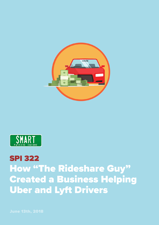



## SPI 322 How "The Rideshare Guy" Created a Business Helping Uber and Lyft Drivers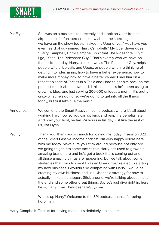

Pat Flynn: So I was on a business trip recently and I took an Uber from the airport. Just for fun, because I knew about the special guest that we have on the show today, I asked my Uber driver, "Hey have you ever heard of guy named Harry Campbell?" My Uber driver goes, "Harry Campbell, Harry Campbell, isn't that The Rideshare Guy?" I go, "Yeah! The Rideshare Guy!" That's exactly who we have on the podcast today, Harry, also known as The Rideshare Guy, helps people who drive Lyfts and Ubers, or people who are thinking of getting into ridesharing, how to have a better experience, how to make more money, how to have a better career. I had him on a recent episode of Tactics in a Tesla and I had to get him back on the podcast to talk about how he did this, the tactics he's been using to grow his blog, and just serving 200,000 uniques a month. It's pretty crazy what he's doing, so we're going to get into all the things today, but first let's cue the music.

- Announcer: Welcome to the Smart Passive Income podcast where it's all about working hard now so you can sit back and reap the benefits later. And now your host, he has 24 hours in his day just like the rest of us, Pat Flynn.
- Pat Flynn: Thank you, thank you so much for joining me today in session 322 of the Smart Passive Income podcast. I'm very happy you're here with me today. Make sure you stick around because not only are we going to get into some tactics that Harry has used to grow his amazing brand here and he's got a book that's coming out and all these amazing things are happening, but we talk about some strategies that I would use if I was an Uber driver, related to starting my new business. I wouldn't be competing with Harry, I would be creating my own business and use Uber as a strategy for how to actually make that happen. Stick around, we're talking about that at the end and some other great things. So, let's just dive right in, here he is, Harry from TheRideshareGuy.com.

What's up Harry? Welcome to the SPI podcast, thanks for being here man.

Harry Campbell: Thanks for having me on, it's definitely a pleasure.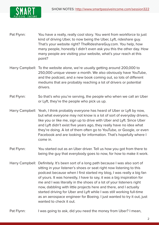

- Pat Flynn: You have a really, really cool story. You went from workforce to just kind of driving Uber, to now being the Uber, Lyft, rideshare guy. That's your website right? TheRideshareGuy.com. You help, how many people, honestly I didn't even ask you this the other day. How many people are visiting your website, what's your reach at this point?
- Harry Campbell: To the website alone, we're usually getting around 200,000 to 250,000 unique viewer a month. We also obviously have YouTube, and the podcast, and a new book coming out, so lots of different mediums that are probably reaching a lot of drivers or potential drivers.
- Pat Flynn: So that's who you're serving, the people who when we call an Uber or Lyft, they're the people who pick us up.
- Harry Campbell: Yeah, I think probably everyone has heard of Uber or Lyft by now, but what everyone may not know is a lot of sort of everyday drivers, like you or like me, sign up to drive with Uber and Lyft. Since Uber and Lyft didn't exist five years ago, they really have no idea what they're doing. A lot of them often go to YouTube, or Google, or even Facebook and are looking for information. That's hopefully where I come in.
- Pat Flynn: You started out as an Uber driver. Tell us how you got from there to being the guy that everybody goes to now, for how to make it work.
- Harry Campbell: Definitely. It's been sort of a long path because I was also sort of sitting in your listener's shoes or seat right now listening to this podcast because when I first started my blog, I was really a big fan of yours. It was honestly, I have to say, it was a big inspiration for me and I was literally in the shoes of a lot of your listeners right now, dabbling with little projects here and there, and I actually started driving for Uber and Lyft while I was still working full-time as an aerospace engineer for Boeing. I just wanted to try it out, just wanted to check it out.
- Pat Flynn: I was going to ask, did you need the money from Uber? I mean,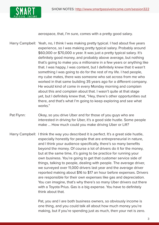

aerospace, that, I'm sure, comes with a pretty good salary.

- Harry Campbell: Yeah, no, I think I was making pretty typical. I had about five years experience, so I was making pretty typical salary. Probably around \$60,000 or \$70,000 a year. It was just a pretty typical salary. It's definitely good money, and probably above average, but nothing that's going to make you a millionaire in a few years or anything like that. I was happy, I was content, but I definitely knew that it wasn't something I was going to do for the rest of my life. I had people, my cube mates, there was someone who sat across from me who worked in that same building 35 years ago for a different company. He would kind of come in every Monday morning and complain about this and complain about that. I wasn't quite at that stage yet, but I definitely knew that, "Hey, there's other opportunities out there, and that's what I'm going to keep exploring and see what works."
- Pat Flynn: Okay, so you drive Uber and for those of you guys who are interested in driving for Uber, it's a good side hustle. Some people make ... How much could you make driving Uber or Lift?
- Harry Campbell: I think the way you described it is perfect. It's a great side hustle, especially honestly for people that are entrepreneurial in nature, and I think your audience specifically, there's so many benefits beyond the money. Of course a lot of drivers do it for the money, but at the same time, it's going to be practice for running your own business. You're going to get that customer service side of things, talking to people, dealing with people. The average driver, we surveyed over 11,000 drivers last year and the average driver reported making about \$16 to \$17 an hour before expenses. Drivers are responsible for their own expenses like gas and depreciation. You can imagine, that's why there's so many Uber drivers out there with a Toyota Prius. Gas is a big expense. You have to definitely think about that.
	- Pat, you and I are both business owners, so obviously income is one thing, and you could talk all about how much money you're making, but if you're spending just as much, then your net is zero.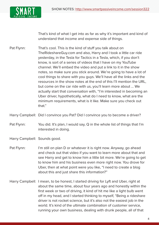

That's kind of what I get into as far as why it's important and kind of understand that income and expense side of things.

Pat Flynn: That's cool. This is the kind of stuff you talk about on TheRideshareGuy.com and also, Harry and I took a little car ride yesterday, in the Tesla for Tactics in a Tesla, which, if you don't know, is sort of a series of videos that I have on my YouTube channel. We'll embed the video and put a link to it in the show notes, so make sure you stick around. We're going to have a lot of cool things to share with you guys. We'll have all the links and the resources in the show notes at the end of this I'll mention the URL, but come on the car ride with us, you'll learn more about ... We actually start that conversation with, "I'm interested in becoming an Uber driver, hypothetically, what do I need to know, what are the minimum requirements, what is it like. Make sure you check out that."

Harry Campbell: Did I convince you Pat? Did I convince you to become a driver?

- Pat Flynn: You did. It's plan, I would say, Q in the whole list of things that I'm interested in doing.
- Harry Campbell: Sounds good.
- Pat Flynn: I'm still on plan D or whatever it is right now. Anyway, go ahead and check out that video if you want to learn more about that and see Harry and get to know him a little bit more. We're going to get to know him and his business even more right now. You drove for Uber, then at what point were you like, "I need to create a blog about this and just share this information?"
- Harry Campbell: I mean, to be honest, I started driving for Lyft and Uber, right at about the same time, about four years ago and honestly within the first week or two of driving, it kind of hit me like a light bulb went off in my head, and I started thinking to myself, "Being a rideshare driver is not rocket science, but it's also not the easiest job in the world. It's kind of the ultimate combination of customer service, running your own business, dealing with drunk people, all of that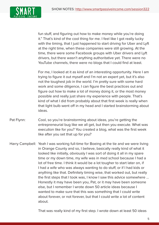

fun stuff, and figuring out how to make money while you're doing it." That's kind of the cool thing for me. I feel like I got really lucky with the timing, that I just happened to start driving for Uber and Lyft at the right time, when these companies were still growing. At the time, there were some Facebook groups with Uber drivers and Lyft drivers, but there wasn't anything authoritative yet. There were no YouTube channels, there were no blogs that I could find at least.

For me, I looked at it as kind of an interesting opportunity. Here I am trying to figure it out myself and I'm not an expert yet, but it's also not the toughest job in the world. I'm pretty sure with some hard work and some diligence, I can figure the best practices out and figure out how to make a lot of money doing it, or the most money possible and really just share my experience with people. That's kind of what I did from probably about that first week is really when that light bulb went off in my head and I started brainstorming about ideas.

- Pat Flynn: Cool, so you're brainstorming about ideas, you're getting the entrepreneurial bug like we all get, but then you execute. What was execution like for you? You created a blog, what was the first week like after you set that up for you?
- Harry Campbell: Yeah I was working full-time for Boeing at the tie and we were living in Orange County and so, I believe, basically really kind of what it looked like initially, obviously I was sort of doing it all in my spare time or my down time, my wife was in med school because I had a lot of free time. I think it would be a lot tougher to start later on, if I had a wife who was always wanting to do stuff, or if I had kids or anything like that. Definitely timing wise, that worked out, but really the first steps that I took was, I know I saw this advice somewhere ... Honestly it may have been you, Pat, or it may have been someone else, but I remember I wrote down 50 article ideas because I wanted to make sure that this was something that I could write about forever, or not forever, but that I could write a lot of content about.

That was really kind of my first step. I wrote down at least 50 ideas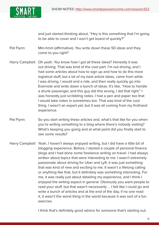

and just started thinking about, "Hey is this something that I'm going to be able to cover and I won't get board of quickly?"

Pat Flynn: Mm-hmm (affirmative). You write down these 50 ideas and they come to you right?

- Harry Campbell: Oh yeah. You know how I got all these ideas? Honestly it was out driving. That was kind of the cool part. I'm out driving, and I had some articles about how to sign up and how to do this more logistical stuff, but a lot of my best article ideas, came from while I was driving. I would end a ride, and then really quickly go into Evernote and write down a bunch of ideas. It's like, "How to handle a drunk passenger, and this guy did this wrong, I did that right." I was honestly just scribbling notes. I had a pen and paper too that I would take notes in sometimes too. That was kind of the cool thing. I wasn't an expert yet, but it was all coming from my firsthand experience.
- Pat Flynn: So you start writing these articles and, what's that like for you when you're writing something to a blog where there's nobody visiting? What's keeping you going and at what point did you finally start to see some results?
- Harry Campbell: Yeah, I haven't always enjoyed writing, but I did have a little bit of blogging experience. Before, I started a couple of personal finance blogs and I had done some freelance writing on travel. I had always written about topics that were interesting to me. I wasn't extremely passionate about driving for Uber and Lyft, it was just something that was kind of new and exciting to me. It wasn't a lifelong calling or anything like that, but it definitely was something interesting. For me, it was really just about detailing my experience, and I think I enjoyed the writing aspect in general. Obviously you want people to read your stuff, but that wasn't necessarily ... I felt like I could go and write a bunch of articles and at the end of the day, if no one read it, it wasn't the worst thing in the world because it was sort of a fun exercise.

I think that's definitely good advice for someone that's starting out.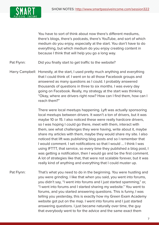

You have to sort of think about now there's different mediums, there's blogs, there's podcasts, there's YouTube, and sort of which medium do you enjoy, especially at the start. You don't have to do everything, but which medium do you enjoy creating content in because I think that will help you go a long way.

Pat Flynn: Did you finally start to get traffic to the website?

Harry Campbell: Honestly, at the start, I used pretty much anything and everything that I could think of. I went on to all those Facebook groups and answered as many questions as I could. I probably answered thousands of questions in three to six months. I was every day going on Facebook. Really, my strategy at the start was thinking "Okay, where are drivers right now? How can I find them, how can I reach them?"

> There were local meetups happening. Lyft was actually sponsoring local meetups between drivers. It wasn't a ton of drivers, but it was maybe 10 or 15. I also noticed these were really hardcore drivers, so I was hoping I could go there, meet with them, interact with them, see what challenges they were having, write about it, maybe share my articles with them, maybe they would share my site. I also noticed that lift was publishing blog posts and so I remember that I would comment. I set notifications so that I would ... I think I was using IFTTT, that service, so every time they published a blog post, I was getting a notification, then I would go and be the first comment. A lot of strategies like that, that were not scalable forever, but it was really kind of anything and everything that I could muster up.

Pat Flynn: That's what you need to do in the beginning. You were hustling and you were grinding. I like that when you said, you went into forums, you didn't say, "I went into forums and I just started spamming," or, "I went into forums and I started sharing my website." You went to forums, and you started answering questions. This is funny, I was telling you yesterday, this is exactly how my Green Exam Academy website got put on the map. I went into forums and I just started answering questions. I just became naturally over time, the guy that everybody went to for the advice and the same exact them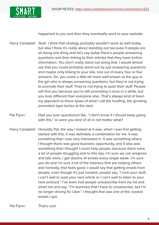

happened to you and then they eventually went to your website.

- Harry Campbell: Yeah. I think that strategy probably wouldn't work as well today, but also I think it's really about standing out because if people are all doing one thing and let's say today there's people answering questions and then linking to their articles that they have further information. You don't really stand out doing that. I would almost say that you could probably stand out by just answering questions and maybe only linking to your site, one out of every four or five answers. So, you come a little bit more well known as the guy or the girl who is always answering questions, but they're not trying to promote their stuff. They're not trying to push their stuff. People will find you because you're still promoting it once in a while, but you look different than everyone else. That's always kind of been my approach to these types of what I call the hustling, the grinding promotion type tactics at the start.
- Pat Flynn: Had you ever questioned like, "I don't know if I should keep going with this," or were you kind of all in not matter what?
- Harry Campbell: Honestly Pat, the way I looked at it was, when I was first getting started with this, it was definitely a combination for me. It was something that I was very interested in. It was something where I thought there was good business opportunity, and it also was something that I thought I could help people, because there were a lot of people struggling and to this day, I'm sure we can progress and talk more, I get dozens of emails every single week. I'm sure you do and I'm sure a lot of the listeners that are helping others and honestly, that feels good. I would say that getting emails from people, even though it's just content, people say, "I love your stuff, I can't wait to read your next article or I can't wait to listen to your next podcast." I've even had people unsubscribe from my list and email me and say, "I'm bummed that I have to unsubscribe, but I'm no longer driving for Uber." I thought that was one of the coolest emails I got.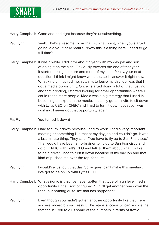Harry Campbell: Good and bad right because they're unsubscribing.

- Pat Flynn: Yeah. That's awesome I love that. At what point, when you started going, did you finally realize, "Wow this is a thing here, I need to go full-time?"
- Harry Campbell: It was a while. I did it for about a year with my day job and sort of doing it on the side. Obviously towards the end of that year, it started taking up more and more of my time. Really, your next question, I think I might know what it is, so I'll answer it right now. What kind of inspired me, actually, to leave my day job, was that I got a media opportunity. Once I started doing a lot of that hustling and that grinding, I started looking for other opportunities where I could reach more people. Media was a big strategy that I used in becoming an expert in the media. I actually got an invite to sit down with Lyft's CEO on CNBC and I had to turn it down because I was working. I never got that opportunity again.
- Pat Flynn: You turned it down?
- Harry Campbell: I had to turn it down because I had to work. I had a very important meeting or something like that at my day job and couldn't go. It was a last minute thing. They said, "You have to fly up to San Francisco." That would have been a no-brainer to fly up to San Francisco and go on CNBC with Lyft's CEO and talk to them about what it's like to be a driver. I had to turn it down because of my day job and that kind of pushed me over the top, for sure.
- Pat Flynn: I would've just quit that day. Sorry guys, can't make this meeting, I've got to be on TV with Lyft's CEO.
- Harry Campbell: What's ironic is that I've never gotten that type of high level media opportunity since I sort of figured, "Oh I'll get another one down the road, but nothing quite like that has happened."
- Pat Flynn: Even though you hadn't gotten another opportunity like that, here you are, incredibly successful. The site is successful, can you define that for us? You told us some of the numbers in terms of traffic.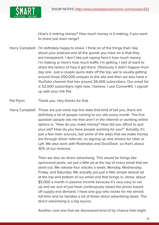

How's it making money? How much money is it making, if you want to share just even range?

- Harry Campbell: I'm definitely happy to share. I think on of the things that I like about your podcast and all the guests you have on is that they are transparent. I don't like just saying here's how much money I'm making or here's how much traffic I'm getting, I sort of want to share the tactics of how it got there. Obviously it didn't happen from day one. Just a couple quick stats off the top, we're usually getting around those 250,000 uniques to the site and then we also have a YouTube channel that has around 26,000 subscribers. Our email list is 52,000 subscribers right now, I believe. I use ConvertKit. I signed up with your link Pat.
- Pat Flynn: Thank you. Hey thanks for that.
- Harry Campbell: Those are just some top line stats that kind of tell you, there are definitely a lot of people coming to our site every month. The first question people ask me that aren't in the internet or working online sphere is, "How do you make money? How did you afford to quit your job? How do you have people working for you?" Actually, it's just a few main sources, but some of the ways that we make money are through driver referrals, so signing up new drivers for Uber or Lyft. We also work with Postmates and DoorDash, so that's about 30% of our revenue.

Then we also do direct advertising. This would be things like sponsored posts, we put a little ad at the top of every email that we send out. We release four articles a week, Monday, Wednesday, Friday, and Saturday. We actually put just a little simple textual ad at the top and bottom of our email and that brings in, alone, about \$5,000 a month in passive income because it's very easy to set up and we sort of just have continuously raised the prices based off supply and demand. I have one guy who works for me almost full-time and he handles a lot of those direct advertising deals. The direct advertising is a big source.

Another cool one that we discovered kind of by chance that might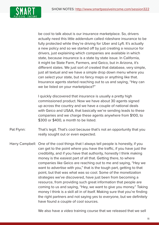

be cool to talk about is our insurance marketplace. So, drivers actually need this little addendum called rideshare insurance to be fully protected while they're driving for Uber and Lyft. It's actually a new policy and so we started off by just creating a resource for drivers, just explaining which companies are available in which state, because insurance is a state by state issue. In California, it might be State Farm, Farmers, and Geico, but in Arizona, it's different states. We just sort of created that database, very simple, just all textual and we have a simple drop down menu where you can select your state, but no fancy maps or anything like that. Insurance agents started reaching out to us and saying, "Hey can we be listed on your marketplace?"

I quickly discovered that insurance is usually a pretty high commissioned product. Now we have about 30 agents signed up across the country and we have a couple of national deals with Geico and USAA, that basically we're sending leads to these companies and we charge these agents anywhere from \$100, to \$300 or \$400, a month to be listed.

Pat Flynn: That's legit. That's cool because that's not an opportunity that you really sought out or even expected.

Harry Campbell: One of the cool things that I always tell people is honestly, if you can get to the point where you have the traffic, if you have just the credibility, and if you have that authority, honestly I think making money is the easiest part of all that. Getting there, to where companies like Geico are reaching out to me and saying, "Hey we want to advertise with you," that is the tough part, getting to that point, but that was what was so cool. Some of the monetization strategies we've discovered, have just been from becoming a resource, from providing such great information that people are coming to us and saying, "Hey, we want to give you money." Taking money I think is a skill all in of itself. Making sure that you're finding the right partners and not saying yes to everyone, but we definitely have found a couple of cool sources.

We also have a video training course that we released that we sell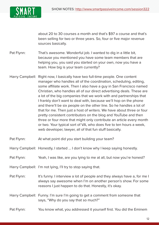

about 20 to 30 courses a month and that's \$97 a course and that's been selling for two or three years. So, four or five major revenue sources basically.

- Pat Flynn: That's awesome. Wonderful job. I wanted to dig in a little bit, because you mentioned you have some team members that are helping you, you said you started on your own, now you have a team. How big is your team currently?
- Harry Campbell: Right now, I basically have two full-time people. One content manager who handles all of the coordination, scheduling, editing, some affiliate work. Then I also have a guy in San Francisco named Christian, who handles all of our direct advertising deals. These are a lot of the big companies that we work with and partnerships that I frankly don't want to deal with, because we'll hop on the phone and there'll be six people on the other line. So he handles a lot of that for me. Then just a host of writers. We have about three or four pretty consistent contributors on the blog and YouTube and then three or four more that might only contribute an article every month or two. Your typical sort of VA, who does five to ten hours a week, web developer, lawyer, all of that fun stuff basically.
- Pat Flynn: At what point did you start building your team?

Harry Campbell: Honestly, I started ... I don't know why I keep saying honestly.

Pat Flynn: Yeah, I was like, are you lying to me at all, but now you're honest?

Harry Campbell: I'm not lying, I'll try to stop saying that.

- Pat Flynn: It's funny. I interview a lot of people and they always have a, for me I always say awesome when I'm on another person's show. For some reasons I just happen to do that. Honestly, it's okay.
- Harry Campbell: Funny. I'm sure I'm going to get a comment from someone that says, "Why do you say that so much?"

## Pat Flynn: You know what, you addressed it yourself first. You did the Eminem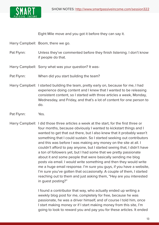

Eight Mile move and you got it before they can say it.

Harry Campbell: Boom, there we go.

- Pat Flynn: Unless they've commented before they finish listening. I don't know if people do that.
- Harry Campbell: Sorry what was your question? It was-
- Pat Flynn: When did you start building the team?
- Harry Campbell: I started building the team, pretty early on, because for me, I had experience doing content and I knew that I wanted to be releasing consistent content, so I started with three articles a week, Monday, Wednesday, and Friday, and that's a lot of content for one person to do.
- Pat Flynn: Yes.
- Harry Campbell: I did those three articles a week at the start, for the first three or four months, because obviously I wanted to kickstart things and I wanted to get that out there, but I also knew that it probably wasn't something that I could sustain. So I started seeking out contributors and this was before I was making any money on the site at all. I couldn't afford to pay anyone, but I started seeing that, I didn't have a ton of followers yet, but I had some that we pretty passionate about it and some people that were basically sending me blog posts via email. I would write something and then they would write me a huge email response. I'm sure you guys, if you have a website, I'm sure you've gotten that occasionally. A couple of them, I started reaching out to them and just asking them, "Hey are you interested in guest posting?"

I found a contributor that way, who actually ended up writing a weekly blog post for me, completely for free, because he was passionate, he was a driver himself, and of course I told him, once I start making money or if I start making money from this site, I'm going to look to reward you and pay you for these articles. It ended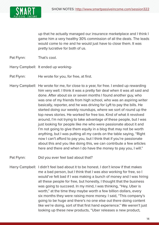

up that he actually managed our insurance marketplace and I think I game him a very healthy 30% commission of all the deals. The leads would come to me and he would just have to close them. It was pretty lucrative for both of us.

- Pat Flynn: That's cool.
- Harry Campbell: It ended up working-
- Pat Flynn: He wrote for you, for free, at first.
- Harry Campbell: He wrote for me, for close to a year, for free. I ended up rewarding him very well. I think it was a pretty fair deal when it was all said and done. After about six or seven months I found another guy, who was one of my friends from high school, who was an aspiring writer basically, reporter, and he was driving for Lyft to pay the bills. He started doing our weekly roundups, where we sort of round up the top news stories. He worked for free too. Kind of what it revolved around, I'm not trying to take advantage of these people, but I was just looking for people like me who were passionate about it and I'm not going to give them equity in a blog that may not be worth anything, but I was putting all my cards on the table saying, "Right now I can't afford to pay you, but I think that if you're passionate about this and you like doing this, we can contribute a few articles here and there and when I do have the money to pay you, I will."
- Pat Flynn: Did you ever feel bad about that?
- Harry Campbell: I didn't feel bad about it to be honest. I don't know if that makes me a bad person, but I think that I was also working for free, so I would've felt bad if I was making a bunch of money and I was hiring all these people for free, but honestly, I thought that the business was going to succeed. In my mind, I was thinking, "Hey, Uber is worth," at the time they maybe worth a few billion dollars, every six months they were raising more money. I said, "This company's going to be huge and there's no one else out there doing content like we're doing, sort of that first hand experience." We weren't just looking up these new products, "Uber releases a new product,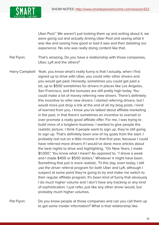

Uber Pool." We weren't just looking them up and writing about it, we were going out and actually driving Uber Pool and seeing what it was like and seeing how good or bad it was and then detailing our experience. No one was really doing content like that.

Pat Flynn: That's amazing. Do you have a relationship with those companies, Uber, Lyft and the others?

Harry Campbell: Yeah, you know what's really funny is that I actually, when I first signed up to drive with Uber, you could refer other drivers and you would get paid. Honestly, sometimes you could get paid a lot, up to \$500 sometimes for drivers in places like Los Angeles, San Francisco, and the bonuses are still pretty high today. You could make a lot of money referring new drivers. There's definitely this incentive to refer new drivers. I started referring drivers, but I would more just drop a link at the end of all my blog posts. I kind of learned from you, I know you've talked about affiliate marketing in the past, in that there's sometimes an incentive to oversell or over promote a really good affiliate offer. For me, I was trying to build more of a longterm business. I wanted to give people the realistic picture. I think if people want to sign up, they're still going to sign up. That's definitely been one of my goals from the start. I probably lost out on a little income in that first year, because I could have referred more drivers if I would've done more articles about the best nights to drive and highlighting, "On New Years, I made \$1,000." You know what I mean? As opposed to, "I drove a week and I made \$400 or \$500 dollars." Whatever it might have been. Something that just is more realistic. Til this day, even today, I still use the driver referral program for both Uber and Lyft, although I suspect at some point they're going to try and make me switch to their regular affiliate program. It's been kind of funny that obviously I do much higher volume and I don't have any tracking or any kind of sophistication. I just refer, just like any other driver would, but probably much higher volumes.

Pat Flynn: Do you know people at those companies and can you call them up to get some insider information? What is that relationship like.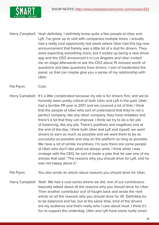

- Harry Campbell: Yeah definitely. I definitely know quite a few people at Uber and Lyft. I've gone up to visit with companies multiple times. I actually had a really cool opportunity last week where Uber had this big new announcement that frankly was a little bit of a dud for drivers. They were expecting something more, but it ended up being a new driver app and the CEO announced it in Los Angeles and Uber invited me on stage afterwards to ask the CEO about 15 minutes worth of questions and take questions from drivers. I sort of moderated the panel, so that can maybe give you a sense of my relationship with Uber.
- Pat Flynn: Cool.
- Harry Campbell: It's a little complicated because my site is for drivers first, and we've honestly been pretty critical of both Uber and Lyft in the past. Uber had a terrible PR year in 2017 and we covered a lot of that. I think that the people at Uber who sort of understand that they're not a perfect company, like any other company, they have mistakes and there's a lot that they can improve. I think we try to do a fair job of balancing, like any job. There's positives and negatives and at the end of the day, I think both Uber and Lyft and myself, we want drivers to earn as much as possible and we want them to be as successful as possible and stay on the platform as long as possible. We have a lot of similar incentives. I'm sure there are some people at Uber who don't like what we always write. I think while I was onstage with the CEO, he sort of made a joke that he saw one of my articles that said, "The reasons why you should drive for Lyft, and he was not happy about it."
- Pat Flynn: You also wrote an article about reasons you should drive for Uber.
- Harry Campbell: Yeah. We had a cool series where we did, one of our contributors basically talked about all the reasons why you should drive for Uber. Then another contributor sort of fought back and wrote the next article on all the reasons why you should drive for lift. Definitely try to be balanced and fair, but at the same time, kind of the drivers are my audience and that's really who I care about most. I think it's fun to support the underdog. Uber and Lyft have some really smart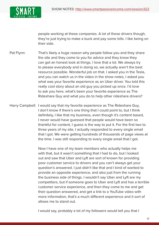

people working at these companies. A lot of these drivers though, they're just trying to make a buck and pay some bills. I like being on their side.

Pat Flynn: That's likely a huge reason why people follow you and they share the site and they come to you for advice and they know they can get an honest look at things. I love that a lot. We always try to please everybody and in doing so, we actually aren't the best resource possible. Wonderful job on that. I asked you in the Tesla, and you can watch us in the video in the show notes, I asked you what was your favorite experience as an Uber driver. You told this really cool story about an old guy you picked up once. I'd love to ask you here, what's been your favorite experience as The Rideshare Guy and what you do to help other rideshare drivers?

Harry Campbell: I would say that my favorite experience as The Rideshare Guy, I don't know if there's one thing that I could point to, but I think definitely, I like that my business, even though it's content based, I never would have guessed that people would have been so thankful for content, I guess is the way to put it. For the first two to three years of my site, I actually responded to every single email that I got. We were getting hundreds of thousands of page views at the time. I was still responding to every single email that I got.

> Now I have one of my team members who actually helps me with that, but it wasn't something that I had to do, but I looked out and saw that Uber and Lyft are sort of known for providing poor customer service to drivers and you can't always get your question's answered. I just didn't like that and I kind of wanted to provide an opposite experience, and also just from the running the business side of things. I wouldn't say Uber and Lyft are my competitors, but if someone goes to Uber and Lyft and has a terrible customer service experience, and then they come to me and get their question answered, and get a link to a YouTube video with more information, that's a much different experience and it sort of allows me to stand out.

I would say, probably a lot of my followers would tell you that I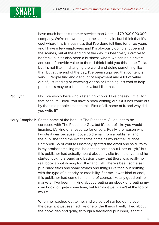

have much better customer service than Uber, a \$70,000,000,000 company. We're not working on the same scale, but I think that it's cool where this is a business that I've done full-time for three years and I have a few employees and I'm obviously doing a lot behind the scenes, but at the ending of the day, it's been very lucrative to be frank, but it's also been a business where we can help drivers and sort of provide value to them. I think I told you this in the Tesla, but it's not like I'm changing the world and doing something like that, but at the end of the day, I've been surprised that content is very ... People find and get a lot of enjoyment and a lot of value out of just reading or watching videos or listening. It's cool to help people. It's maybe a little cheesy, but I like that.

- Pat Flynn: No. Everybody here who's listening knows, I like cheesy. I'm all for that, for sure. Book. You have a book coming out. Or it has come out by the time people listen to this. First of all, name of it, and why did you write it?
- Harry Campbell: So the name of the book is The Rideshare Guide, not to be confused with The Rideshare Guy, but it's sort of, like you would imagine, it's kind of a resource for drivers. Really, the reason why I wrote it was because I got a cold email from a publisher, and the publisher had the exact same name as my brother, Michael Campbell. So of course I instantly spotted the email and said, "Why is my brother emailing me, he doesn't care about Uber or Lyft," but this publisher had actually heard about my site from a driver and he started looking around and basically saw that there was really no real book about driving for Uber and Lyft. There's been some self published titles and some stories and things like that, but nothing with the type of authority or credibility. For me, it was kind of cool, this publisher had come to me and of course, like any good online marketer, I've been thinking about creating an ebook or creating my own book for quite some time, but frankly it just wasn't at the top of my list.

When he reached out to me, and we sort of started going over the details, it just seemed like one of the things I really liked about the book idea and going through a traditional publisher, is that it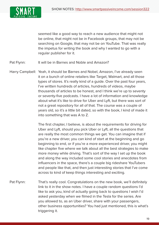

seemed like a good way to reach a new audience that might not be online, that might not be in Facebook groups, that may not be searching on Google, that may not be on YouTube. That was really the impetus for writing the book and why I wanted to go with a regular publisher for it.

Pat Flynn: It will be in Barnes and Noble and Amazon?

Harry Campbell: Yeah, it should be Barnes and Nobel, Amazon, I've already seen it on a bunch of online retailers like Target, Walmart, and all those types of stores. It's really kind of a guide. Over the past four years, I've written hundreds of articles, hundreds of videos, maybe thousands of articles to be honest, and I think we're up to seventy or seventy-five podcasts. I have a lot of information and knowledge about what it's like to drive for Uber and Lyft, but there was sort of not a great repository for all of that. The course was a couple of years old, so it's a little bit dated, so with the book, I kind of made it into something that was A to Z.

> The first chapter, I believe, is about the requirements for driving for Uber and Lyft, should you pick Uber or Lyft, all the questions that are really the most common things we get. You can imagine that if you're a new driver, you can kind of start at the beginning and go beginning to end, or if you're a more experienced driver, you might like chapter five where we talk about all the best strategies to make more money while driving. That's sort of the way I set up the book and along the way included some cool stories and anecdotes from influencers in the space, there's a couple big rideshare YouTubers and people like that, and then just interesting stories that I've come across to kind of keep things interesting and exciting.

Pat Flynn: That's really cool. Congratulations on the new book, we'll definitely link to it in the show notes. I have a couple random questions I'd like to ask you, kind of actually going back to questions I wish I'd asked yesterday when we filmed in the Tesla for the series. Are you allowed to, as an Uber driver, share with your passengers, other business opportunities? You had just mentioned, this is what's triggering it.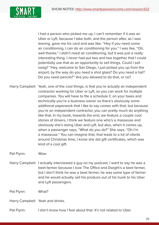

I had a person who picked me up, I can't remember if it was an Uber or Lyft, because I take both, and the person after, as I was leaving, gave me his card and was like, "Hey if you need some air conditioning, I can do air conditioning for you." I was like, "Oh, well thanks." I didn't need air conditioning, but it was just a really interesting thing. I never had put two and two together that I could potentially use that as an opportunity to sell things. Could I sell swag? "Hey, welcome to San Diego, I just picked you up from the airport, by the way do you need a shot glass? Do you need a hat? Do you need pencils?" Are you allowed to do that, or no?

Harry Campbell: Yeah, one of the cool things, is that you're actually an independent contractor working for Uber or Lyft, so you can work for multiple companies. You will have to file a schedule C on your taxes and technically you're a business owner so there's obviously some additional paperwork that I like to say comes with that, but because you're an independent contractor, you can pretty much do anything like that. In my book, towards the end, we feature a couple cool stories of drivers, I think we feature one who's a masseuse and obviously she's doing Uber and Lyft, but also, when it comes up, when a passenger says, "What do you do?" She says, "Oh I'm a masseuse." You can imagine that, that leads to a lot of clients around Christmas time, I know she did gift certificates, which was kind of a cool gift.

Pat Flynn: Wow.

Harry Campbell: I actually interviewed a guy on my podcast, I want to say he was a beet farmer because I love The Office and Dwight's a beet farmer, but I don't think he was a beet farmer, he was some type of farmer and he would actually sell his produce out of his trunk to his Uber and Lyft passengers.

Pat Flynn: What?

Harry Campbell: Yeah and drinks.

Pat Flynn: I don't know how I feel about that. It's not related to Uber.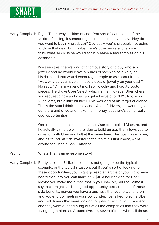

Harry Campbell: Right. That's why it's kind of cool. You sort of learn some of the tactics of selling. If someone gets in the car and you say, "Hey do you want to buy my produce?" Obviously you're probably not going to close that deal, but maybe there's other more subtle ways. I think what he did is he would actually leave a few samples on his dashboard.

> I've seen this, there's kind of a famous story of a guy who sold jewelry and he would leave a bunch of samples of jewelry on his dash and that would encourage people to ask about it, say, "Hey, why do you have all these pieces of jewelry on your dash?" He says, "Oh in my spare time, I sell jewelry and I create custom pieces." He drove Uber Select, which is the mid-level Uber where you request a ride and you can get a Lexus or a BMW. Not posh VIP clients, but a little bit nicer. This was kind of his target audience. That's the stuff I think is really cool. A lot of drivers just want to go out there and drive and make their money, but there's some really cool opportunities.

> One of the companies that I'm an advisor for is called Maestro, and he actually came up with the idea to build an app that allows you to drive for both Uber and Lyft at the same time. This guy was a driver, and he found his first investor that cut him his first check, while driving for Uber in San Francisco.

- Pat Flynn: What? That is an awesome story!
- Harry Campbell: Pretty cool, huh? Like I said, that's not going to be the typical scenario, or the typical situation, but if you're sort of looking for these opportunities, you might go read an article or you might have heard that I say you can make \$15, \$16 a hour driving for Uber. Maybe you make more than that in your day job, but I still almost say that it might still be a good opportunity because a lot of those side benefits, maybe you have a business that you're working on and you end up meeting your co-founder. I've talked to some Uber and Lyft drivers that were looking for jobs in tech in San Francisco and they went out and hung out at all the companies that they were trying to get hired at. Around five, six, seven o'clock when all these,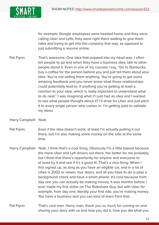

for example, Google employees were headed home and they were calling Uber and Lyfts, they were right there waiting to give them rides and trying to get into the company that way, as opposed to just submitting a resume online.

- Pat Flynn: That's awesome. One idea that popped into my head was, I often tell people to go and when they have a business idea, talk to other people about it. Even in one of my courses I say, "Go to Starbucks, buy a coffee for the person behind you and just tell them about your idea. You're not selling them anything. You're going to get some amazing feedback and you never know what those relationships could potentially lead to. If anything you're getting at least a reaction to your idea, which is really important to understand what to do next." I was imagining what if I just had an idea and I wanted to see what people thought about it? I'll drive for Uber and just pitch it to every single person who comes in. I'm getting paid to validate my ideas.
- Harry Campbell: Yeah.
- Pat Flynn: Even if the idea doesn't work, at least I'm actually putting it out there, but I'm also making some money on the side at the same time.
- Harry Campbell: Yeah, I think that's a cool thing. Obviously I'm a little biased because the more Uber and Lyft drivers out there, the better for me probably, but I think that there's opportunity for anyone and everyone to at least try it and see if it's a good fit. That's a nice thing. When I first signed up, as long as you have an eligible car, and in a lot of cities is 2002 or newer, four doors, and all you have to do is pass a background check and have a smart phone. It's cool because from day one you can actually be making money. It was months before I ever made my first dollar on The Rideshare Guy, but with Uber for example, from day one, literally your first ride, you're making money. You have a business and you can kind of learn from that.
- Pat Flynn: That's cool man. Harry, man, thank you so much for coming on and sharing your story with us and how you did it, how you did what you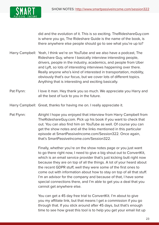

did and the evolution of it. This is so exciting. TheRideshareGuy.com is where you go, The Rideshare Guide is the name of the book, is there anywhere else people should go to see what you're up to?

- Harry Campbell: Yeah, I think we're on YouTube and we also have a podcast, The Rideshare Guy, where I basically interview interesting people, drivers, people in the industry, academics, and people from Uber and Lyft, so lots of interesting interviews happening over there. Really anyone who's kind of interested in transportation, mobility, obviously that's our focus, but we cover lots of different topics. Anything that is interesting and exciting basically.
- Pat Flynn: I love it man. Hey thank you so much. We appreciate you Harry and all the best of luck to you in the future.

Harry Campbell: Great, thanks for having me on. I really appreciate it.

Pat Flynn: Alright I hope you enjoyed that interview from Harry Campbell from TheRideshareGuy.com. Pick up his book if you want to check that out. You can also find him on YouTube as well. Of course you can get the show notes and all the links mentioned in this particular episode at SmartPassiveIncome.com/Session322. Once again, that's SmartPassiveIncome.com/Session322.

> Finally, whether you're on the show notes page or you just want to go there right now, I need to give a big shout out to ConvertKit, which is an email service provider that's just kicking butt right now because they are on top of all the things. A lot of your heard about the recent GDPR stuff, well they were some of the first ones to come out with information about how to stay on top of all that stuff. I'm an advisor for the company and because of that, I have some special connections there, and I'm able to get you a deal that you cannot get anywhere else.

You can get a 45 day free trial to ConvertKit. I'm about to give you my affiliate link, but that means I get a commission if you go through that. If you stick around after 45 days, but that's enough time to see how great this tool is to help you get your email list up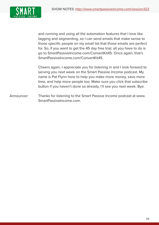

and running and using all the automation features that I love like tagging and segmenting, so I can send emails that make sense to those specific people on my email list that those emails are perfect for. So, if you want to get the 45 day free trial, all you have to do is go to SmartPassiveIncome.com/ConvertKit45. Once again, that's SmartPassiveIncome.com/ConvertKit45.

Cheers again, I appreciate you for listening in and I look forward to serving you next week on the Smart Passive Income podcast. My name is Pat Flynn here to help you make more money, save more time, and help more people too. Make sure you click that subscribe button if you haven't done so already. I'll see you next week. Bye.

Announcer: Thanks for listening to the Smart Passive Income podcast at www. SmartPassiveIncome.com.